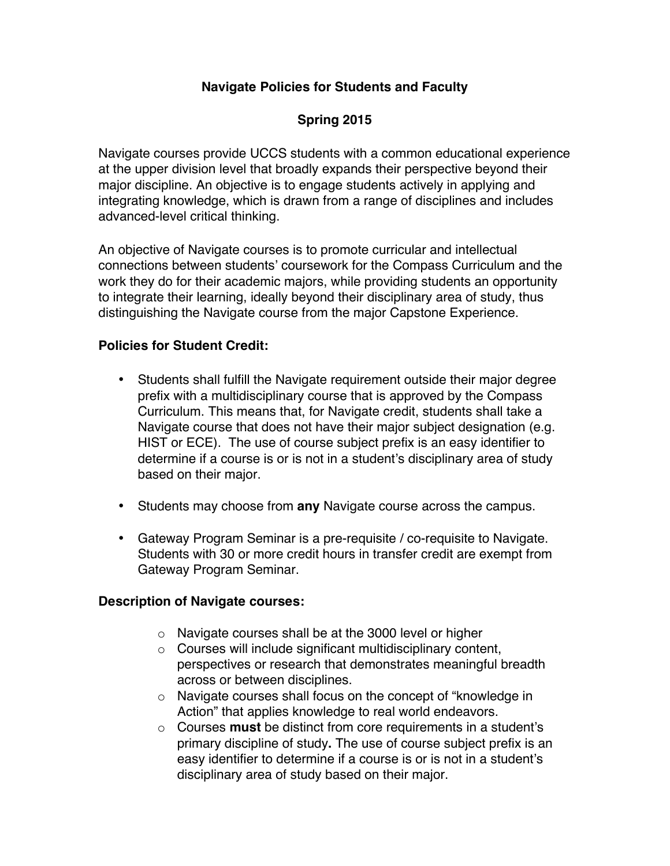## **Navigate Policies for Students and Faculty**

# **Spring 2015**

Navigate courses provide UCCS students with a common educational experience at the upper division level that broadly expands their perspective beyond their major discipline. An objective is to engage students actively in applying and integrating knowledge, which is drawn from a range of disciplines and includes advanced-level critical thinking.

An objective of Navigate courses is to promote curricular and intellectual connections between students' coursework for the Compass Curriculum and the work they do for their academic majors, while providing students an opportunity to integrate their learning, ideally beyond their disciplinary area of study, thus distinguishing the Navigate course from the major Capstone Experience.

### **Policies for Student Credit:**

- Students shall fulfill the Navigate requirement outside their major degree prefix with a multidisciplinary course that is approved by the Compass Curriculum. This means that, for Navigate credit, students shall take a Navigate course that does not have their major subject designation (e.g. HIST or ECE). The use of course subject prefix is an easy identifier to determine if a course is or is not in a student's disciplinary area of study based on their major.
- Students may choose from **any** Navigate course across the campus.
- Gateway Program Seminar is a pre-requisite / co-requisite to Navigate. Students with 30 or more credit hours in transfer credit are exempt from Gateway Program Seminar.

### **Description of Navigate courses:**

- o Navigate courses shall be at the 3000 level or higher
- o Courses will include significant multidisciplinary content, perspectives or research that demonstrates meaningful breadth across or between disciplines.
- o Navigate courses shall focus on the concept of "knowledge in Action" that applies knowledge to real world endeavors.
- o Courses **must** be distinct from core requirements in a student's primary discipline of study**.** The use of course subject prefix is an easy identifier to determine if a course is or is not in a student's disciplinary area of study based on their major.